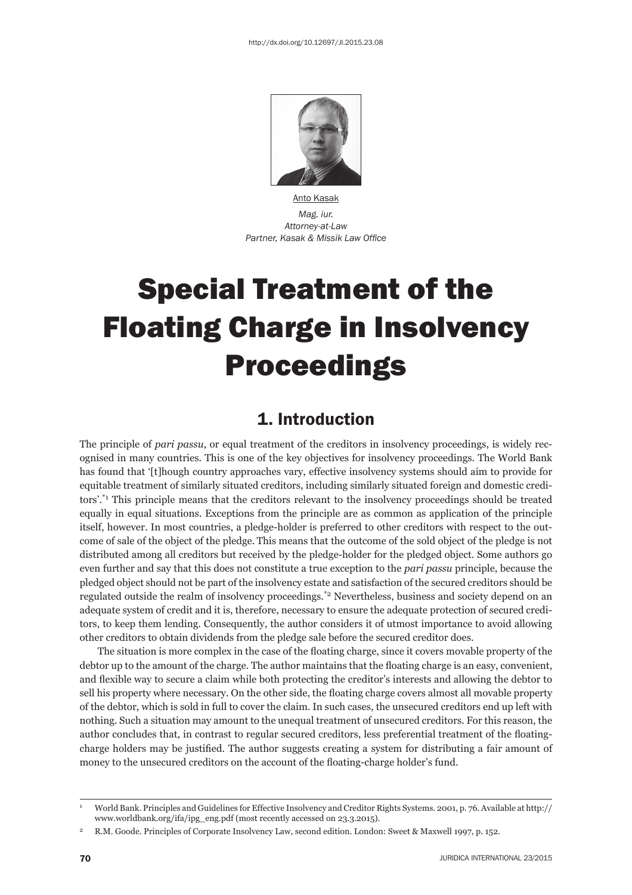

Anto Kasak *Mag. iur. Attorney-at-Law* **Partner, Kasak & Missik Law Office** 

# Special Treatment of the Floating Charge in Insolvency **Proceedings**

#### 1. Introduction

The principle of *pari passu*, or equal treatment of the creditors in insolvency proceedings, is widely recognised in many countries. This is one of the key objectives for insolvency proceedings. The World Bank has found that '[t]hough country approaches vary, effective insolvency systems should aim to provide for equitable treatment of similarly situated creditors, including similarly situated foreign and domestic creditors'.\*1 This principle means that the creditors relevant to the insolvency proceedings should be treated equally in equal situations. Exceptions from the principle are as common as application of the principle itself, however. In most countries, a pledge-holder is preferred to other creditors with respect to the outcome of sale of the object of the pledge. This means that the outcome of the sold object of the pledge is not distributed among all creditors but received by the pledge-holder for the pledged object. Some authors go even further and say that this does not constitute a true exception to the *pari passu* principle, because the pledged object should not be part of the insolvency estate and satisfaction of the secured creditors should be regulated outside the realm of insolvency proceedings.\*2 Nevertheless, business and society depend on an adequate system of credit and it is, therefore, necessary to ensure the adequate protection of secured creditors, to keep them lending. Consequently, the author considers it of utmost importance to avoid allowing other creditors to obtain dividends from the pledge sale before the secured creditor does.

The situation is more complex in the case of the floating charge, since it covers movable property of the debtor up to the amount of the charge. The author maintains that the floating charge is an easy, convenient, and flexible way to secure a claim while both protecting the creditor's interests and allowing the debtor to sell his property where necessary. On the other side, the floating charge covers almost all movable property of the debtor, which is sold in full to cover the claim. In such cases, the unsecured creditors end up left with nothing. Such a situation may amount to the unequal treatment of unsecured creditors. For this reason, the author concludes that, in contrast to regular secured creditors, less preferential treatment of the floatingcharge holders may be justified. The author suggests creating a system for distributing a fair amount of money to the unsecured creditors on the account of the floating-charge holder's fund.

<sup>1</sup> World Bank. Principles and Guidelines for Effective Insolvency and Creditor Rights Systems. 2001, p. 76. Available at http:// www.worldbank.org/ifa/ipg\_eng.pdf (most recently accessed on 23.3.2015).

<sup>2</sup> R.M. Goode. Principles of Corporate Insolvency Law, second edition. London: Sweet & Maxwell 1997, p. 152.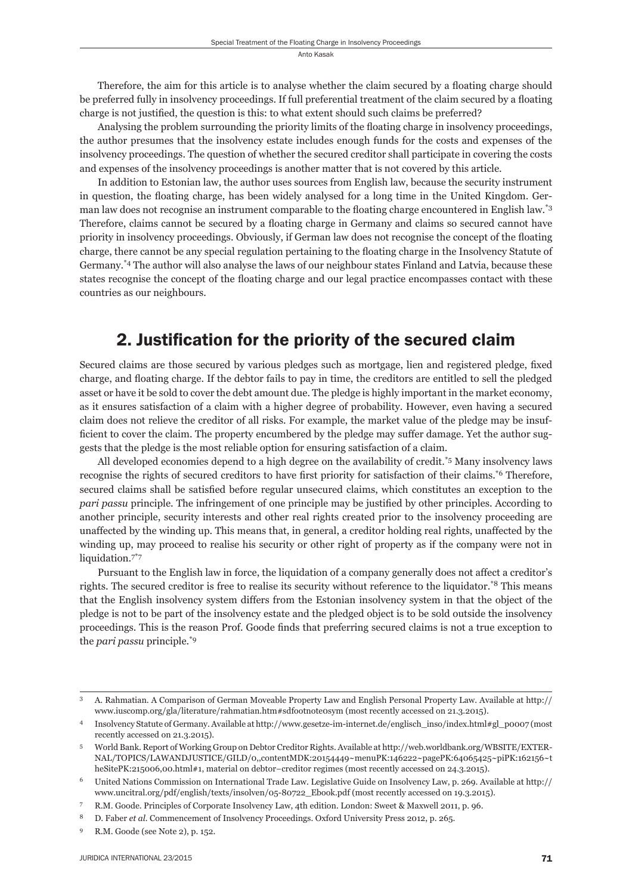Therefore, the aim for this article is to analyse whether the claim secured by a floating charge should be preferred fully in insolvency proceedings. If full preferential treatment of the claim secured by a floating charge is not justified, the question is this: to what extent should such claims be preferred?

Analysing the problem surrounding the priority limits of the floating charge in insolvency proceedings, the author presumes that the insolvency estate includes enough funds for the costs and expenses of the insolvency proceedings. The question of whether the secured creditor shall participate in covering the costs and expenses of the insolvency proceedings is another matter that is not covered by this article.

In addition to Estonian law, the author uses sources from English law, because the security instrument in question, the floating charge, has been widely analysed for a long time in the United Kingdom. German law does not recognise an instrument comparable to the floating charge encountered in English law.<sup>\*3</sup> Therefore, claims cannot be secured by a floating charge in Germany and claims so secured cannot have priority in insolvency proceedings. Obviously, if German law does not recognise the concept of the floating charge, there cannot be any special regulation pertaining to the floating charge in the Insolvency Statute of Germany.\*4 The author will also analyse the laws of our neighbour states Finland and Latvia, because these states recognise the concept of the floating charge and our legal practice encompasses contact with these countries as our neighbours.

#### 2. Justification for the priority of the secured claim

Secured claims are those secured by various pledges such as mortgage, lien and registered pledge, fixed charge, and floating charge. If the debtor fails to pay in time, the creditors are entitled to sell the pledged asset or have it be sold to cover the debt amount due. The pledge is highly important in the market economy, as it ensures satisfaction of a claim with a higher degree of probability. However, even having a secured claim does not relieve the creditor of all risks. For example, the market value of the pledge may be insufficient to cover the claim. The property encumbered by the pledge may suffer damage. Yet the author suggests that the pledge is the most reliable option for ensuring satisfaction of a claim.

All developed economies depend to a high degree on the availability of credit.\*5 Many insolvency laws recognise the rights of secured creditors to have first priority for satisfaction of their claims.\*6 Therefore, secured claims shall be satisfied before regular unsecured claims, which constitutes an exception to the *pari passu* principle. The infringement of one principle may be justified by other principles. According to another principle, security interests and other real rights created prior to the insolvency proceeding are unaffected by the winding up. This means that, in general, a creditor holding real rights, unaffected by the winding up, may proceed to realise his security or other right of property as if the company were not in liquidation.<sup>7\*7</sup>

Pursuant to the English law in force, the liquidation of a company generally does not affect a creditor's rights. The secured creditor is free to realise its security without reference to the liquidator.<sup>\*8</sup> This means that the English insolvency system differs from the Estonian insolvency system in that the object of the pledge is not to be part of the insolvency estate and the pledged object is to be sold outside the insolvency proceedings. This is the reason Prof. Goode finds that preferring secured claims is not a true exception to the *pari passu* principle.\*9

<sup>3</sup> A. Rahmatian. A Comparison of German Moveable Property Law and English Personal Property Law. Available at http:// www.iuscomp.org/gla/literature/rahmatian.htm#sdfootnote0sym (most recently accessed on 21.3.2015).

<sup>4</sup> Insolvency Statute of Germany. Available at http://www.gesetze-im-internet.de/englisch\_inso/index.html#gl\_p0007 (most recently accessed on 21.3.2015).

<sup>5</sup> World Bank. Report of Working Group on Debtor Creditor Rights. Available at http://web.worldbank.org/WBSITE/EXTER-NAL/TOPICS/LAWANDJUSTICE/GILD/0,,contentMDK:20154449~menuPK:146222~pagePK:64065425~piPK:162156~t heSitePK:215006,00.html#1, material on debtor−creditor regimes (most recently accessed on 24.3.2015).

<sup>6</sup> United Nations Commission on International Trade Law. Legislative Guide on Insolvency Law, p. 269. Available at http:// www.uncitral.org/pdf/english/texts/insolven/05-80722\_Ebook.pdf (most recently accessed on 19.3.2015).

<sup>7</sup> R.M. Goode. Principles of Corporate Insolvency Law, 4th edition. London: Sweet & Maxwell 2011, p. 96.

<sup>8</sup> D. Faber *et al.* Commencement of Insolvency Proceedings. Oxford University Press 2012, p. 265.

<sup>9</sup> R.M. Goode (see Note 2), p. 152.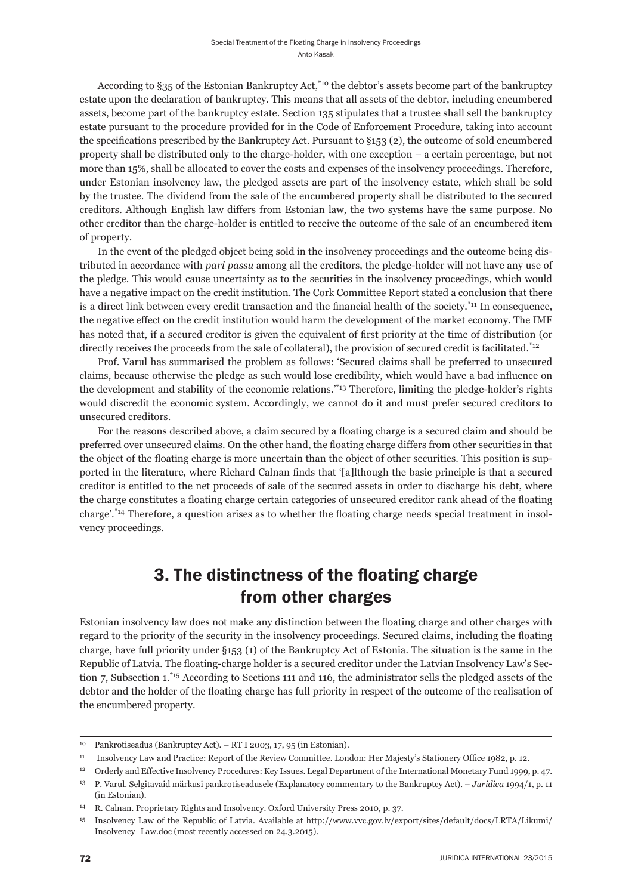According to §35 of the Estonian Bankruptcy Act,\*10 the debtor's assets become part of the bankruptcy estate upon the declaration of bankruptcy. This means that all assets of the debtor, including encumbered assets, become part of the bankruptcy estate. Section 135 stipulates that a trustee shall sell the bankruptcy estate pursuant to the procedure provided for in the Code of Enforcement Procedure, taking into account the specifications prescribed by the Bankruptcy Act. Pursuant to  $\S$ 153 (2), the outcome of sold encumbered property shall be distributed only to the charge-holder, with one exception – a certain percentage, but not more than 15%, shall be allocated to cover the costs and expenses of the insolvency proceedings. Therefore, under Estonian insolvency law, the pledged assets are part of the insolvency estate, which shall be sold by the trustee. The dividend from the sale of the encumbered property shall be distributed to the secured creditors. Although English law differs from Estonian law, the two systems have the same purpose. No other creditor than the charge-holder is entitled to receive the outcome of the sale of an encumbered item of property.

In the event of the pledged object being sold in the insolvency proceedings and the outcome being distributed in accordance with *pari passu* among all the creditors, the pledge-holder will not have any use of the pledge. This would cause uncertainty as to the securities in the insolvency proceedings, which would have a negative impact on the credit institution. The Cork Committee Report stated a conclusion that there is a direct link between every credit transaction and the financial health of the society.<sup>\*11</sup> In consequence, the negative effect on the credit institution would harm the development of the market economy. The IMF has noted that, if a secured creditor is given the equivalent of first priority at the time of distribution (or directly receives the proceeds from the sale of collateral), the provision of secured credit is facilitated.<sup>\*12</sup>

Prof. Varul has summarised the problem as follows: 'Secured claims shall be preferred to unsecured claims, because otherwise the pledge as such would lose credibility, which would have a bad influence on the development and stability of the economic relations.'\*13 Therefore, limiting the pledge-holder's rights would discredit the economic system. Accordingly, we cannot do it and must prefer secured creditors to unsecured creditors.

For the reasons described above, a claim secured by a floating charge is a secured claim and should be preferred over unsecured claims. On the other hand, the floating charge differs from other securities in that the object of the floating charge is more uncertain than the object of other securities. This position is supported in the literature, where Richard Calnan finds that '[a]lthough the basic principle is that a secured creditor is entitled to the net proceeds of sale of the secured assets in order to discharge his debt, where the charge constitutes a floating charge certain categories of unsecured creditor rank ahead of the floating charge'.\*14 Therefore, a question arises as to whether the floating charge needs special treatment in insolvency proceedings.

## 3. The distinctness of the floating charge from other charges

Estonian insolvency law does not make any distinction between the floating charge and other charges with regard to the priority of the security in the insolvency proceedings. Secured claims, including the floating charge, have full priority under §153 (1) of the Bankruptcy Act of Estonia. The situation is the same in the Republic of Latvia. The floating-charge holder is a secured creditor under the Latvian Insolvency Law's Section 7, Subsection 1.\*15 According to Sections 111 and 116, the administrator sells the pledged assets of the debtor and the holder of the floating charge has full priority in respect of the outcome of the realisation of the encumbered property.

<sup>10</sup> Pankrotiseadus (Bankruptcy Act). – RT I 2003, 17, 95 (in Estonian).

<sup>&</sup>lt;sup>11</sup> Insolvency Law and Practice: Report of the Review Committee. London: Her Majesty's Stationery Office 1982, p. 12.

<sup>12</sup> Orderly and Effective Insolvency Procedures: Key Issues. Legal Department of the International Monetary Fund 1999, p. 47.

<sup>13</sup> P. Varul. Selgitavaid märkusi pankrotiseadusele (Explanatory commentary to the Bankruptcy Act). – *Juridica* 1994/1, p. 11 (in Estonian).

<sup>14</sup> R. Calnan. Proprietary Rights and Insolvency. Oxford University Press 2010, p. 37.

<sup>15</sup> Insolvency Law of the Republic of Latvia. Available at http://www.vvc.gov.lv/export/sites/default/docs/LRTA/Likumi/ Insolvency\_Law.doc (most recently accessed on 24.3.2015).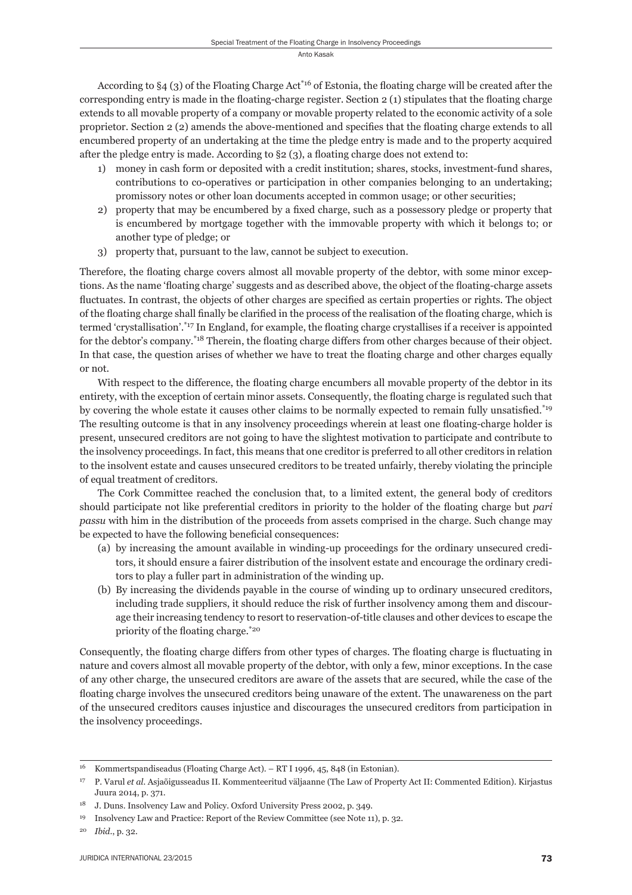According to  $\S 4$  (3) of the Floating Charge Act<sup>\*16</sup> of Estonia, the floating charge will be created after the corresponding entry is made in the floating-charge register. Section 2 (1) stipulates that the floating charge extends to all movable property of a company or movable property related to the economic activity of a sole proprietor. Section 2 (2) amends the above-mentioned and specifies that the floating charge extends to all encumbered property of an undertaking at the time the pledge entry is made and to the property acquired after the pledge entry is made. According to  $\S$ 2 (3), a floating charge does not extend to:

- 1) money in cash form or deposited with a credit institution; shares, stocks, investment-fund shares, contributions to co-operatives or participation in other companies belonging to an undertaking; promissory notes or other loan documents accepted in common usage; or other securities;
- 2) property that may be encumbered by a fixed charge, such as a possessory pledge or property that is encumbered by mortgage together with the immovable property with which it belongs to; or another type of pledge; or
- 3) property that, pursuant to the law, cannot be subject to execution.

Therefore, the floating charge covers almost all movable property of the debtor, with some minor exceptions. As the name 'floating charge' suggests and as described above, the object of the floating-charge assets fluctuates. In contrast, the objects of other charges are specified as certain properties or rights. The object of the floating charge shall finally be clarified in the process of the realisation of the floating charge, which is termed 'crystallisation'.<sup>\*17</sup> In England, for example, the floating charge crystallises if a receiver is appointed for the debtor's company.<sup>\*18</sup> Therein, the floating charge differs from other charges because of their object. In that case, the question arises of whether we have to treat the floating charge and other charges equally or not.

With respect to the difference, the floating charge encumbers all movable property of the debtor in its entirety, with the exception of certain minor assets. Consequently, the floating charge is regulated such that by covering the whole estate it causes other claims to be normally expected to remain fully unsatisfied.<sup>\*19</sup> The resulting outcome is that in any insolvency proceedings wherein at least one floating-charge holder is present, unsecured creditors are not going to have the slightest motivation to participate and contribute to the insolvency proceedings. In fact, this means that one creditor is preferred to all other creditors in relation to the insolvent estate and causes unsecured creditors to be treated unfairly, thereby violating the principle of equal treatment of creditors.

The Cork Committee reached the conclusion that, to a limited extent, the general body of creditors should participate not like preferential creditors in priority to the holder of the floating charge but *pari passu* with him in the distribution of the proceeds from assets comprised in the charge. Such change may be expected to have the following beneficial consequences:

- (a) by increasing the amount available in winding-up proceedings for the ordinary unsecured creditors, it should ensure a fairer distribution of the insolvent estate and encourage the ordinary creditors to play a fuller part in administration of the winding up.
- (b) By increasing the dividends payable in the course of winding up to ordinary unsecured creditors, including trade suppliers, it should reduce the risk of further insolvency among them and discourage their increasing tendency to resort to reservation-of-title clauses and other devices to escape the priority of the floating charge.\*20

Consequently, the floating charge differs from other types of charges. The floating charge is fluctuating in nature and covers almost all movable property of the debtor, with only a few, minor exceptions. In the case of any other charge, the unsecured creditors are aware of the assets that are secured, while the case of the floating charge involves the unsecured creditors being unaware of the extent. The unawareness on the part of the unsecured creditors causes injustice and discourages the unsecured creditors from participation in the insolvency proceedings.

<sup>16</sup> Kommertspandiseadus (Floating Charge Act). – RT I 1996, 45, 848 (in Estonian).

<sup>17</sup> P. Varul *et al.* Asjaõigusseadus II. Kommenteeritud väljaanne (The Law of Property Act II: Commented Edition). Kirjastus Juura 2014, p. 371.

<sup>&</sup>lt;sup>18</sup> J. Duns. Insolvency Law and Policy. Oxford University Press 2002, p. 349.

<sup>&</sup>lt;sup>19</sup> Insolvency Law and Practice: Report of the Review Committee (see Note 11), p. 32.

<sup>20</sup> *Ibid*., p. 32.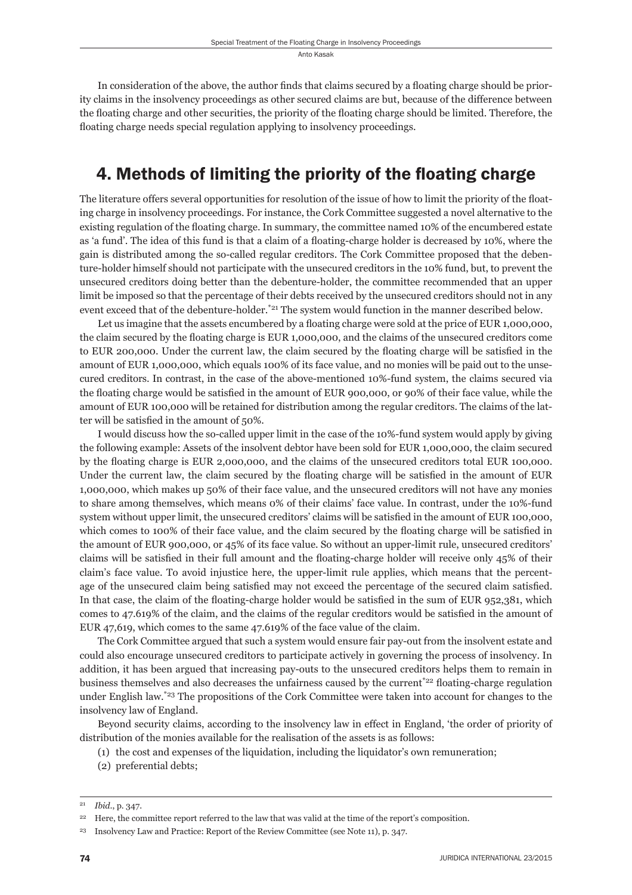In consideration of the above, the author finds that claims secured by a floating charge should be priority claims in the insolvency proceedings as other secured claims are but, because of the difference between the floating charge and other securities, the priority of the floating charge should be limited. Therefore, the floating charge needs special regulation applying to insolvency proceedings.

### 4. Methods of limiting the priority of the floating charge

The literature offers several opportunities for resolution of the issue of how to limit the priority of the floating charge in insolvency proceedings. For instance, the Cork Committee suggested a novel alternative to the existing regulation of the floating charge. In summary, the committee named 10% of the encumbered estate as 'a fund'. The idea of this fund is that a claim of a floating-charge holder is decreased by 10%, where the gain is distributed among the so-called regular creditors. The Cork Committee proposed that the debenture-holder himself should not participate with the unsecured creditors in the 10% fund, but, to prevent the unsecured creditors doing better than the debenture-holder, the committee recommended that an upper limit be imposed so that the percentage of their debts received by the unsecured creditors should not in any event exceed that of the debenture-holder.<sup>\*21</sup> The system would function in the manner described below.

Let us imagine that the assets encumbered by a floating charge were sold at the price of EUR 1,000,000, the claim secured by the floating charge is EUR 1,000,000, and the claims of the unsecured creditors come to EUR 200,000. Under the current law, the claim secured by the floating charge will be satisfied in the amount of EUR 1,000,000, which equals 100% of its face value, and no monies will be paid out to the unsecured creditors. In contrast, in the case of the above-mentioned 10%-fund system, the claims secured via the floating charge would be satisfied in the amount of EUR 900,000, or 90% of their face value, while the amount of EUR 100,000 will be retained for distribution among the regular creditors. The claims of the latter will be satisfied in the amount of 50%.

I would discuss how the so-called upper limit in the case of the 10%-fund system would apply by giving the following example: Assets of the insolvent debtor have been sold for EUR 1,000,000, the claim secured by the floating charge is EUR 2,000,000, and the claims of the unsecured creditors total EUR 100,000. Under the current law, the claim secured by the floating charge will be satisfied in the amount of EUR 1,000,000, which makes up 50% of their face value, and the unsecured creditors will not have any monies to share among themselves, which means 0% of their claims' face value. In contrast, under the 10%-fund system without upper limit, the unsecured creditors' claims will be satisfied in the amount of EUR 100,000, which comes to 100% of their face value, and the claim secured by the floating charge will be satisfied in the amount of EUR 900,000, or 45% of its face value. So without an upper-limit rule, unsecured creditors' claims will be satisfied in their full amount and the floating-charge holder will receive only 45% of their claim's face value. To avoid injustice here, the upper-limit rule applies, which means that the percentage of the unsecured claim being satisfied may not exceed the percentage of the secured claim satisfied. In that case, the claim of the floating-charge holder would be satisfied in the sum of EUR 952,381, which comes to 47.619% of the claim, and the claims of the regular creditors would be satisfied in the amount of EUR 47,619, which comes to the same 47.619% of the face value of the claim.

The Cork Committee argued that such a system would ensure fair pay-out from the insolvent estate and could also encourage unsecured creditors to participate actively in governing the process of insolvency. In addition, it has been argued that increasing pay-outs to the unsecured creditors helps them to remain in business themselves and also decreases the unfairness caused by the current<sup>\*22</sup> floating-charge regulation under English law.\*23 The propositions of the Cork Committee were taken into account for changes to the insolvency law of England.

Beyond security claims, according to the insolvency law in effect in England, 'the order of priority of distribution of the monies available for the realisation of the assets is as follows:

(1) the cost and expenses of the liquidation, including the liquidator's own remuneration;

(2) preferential debts;

<sup>21</sup> *Ibid*., p. 347.

<sup>&</sup>lt;sup>22</sup> Here, the committee report referred to the law that was valid at the time of the report's composition.

<sup>&</sup>lt;sup>23</sup> Insolvency Law and Practice: Report of the Review Committee (see Note 11), p. 347.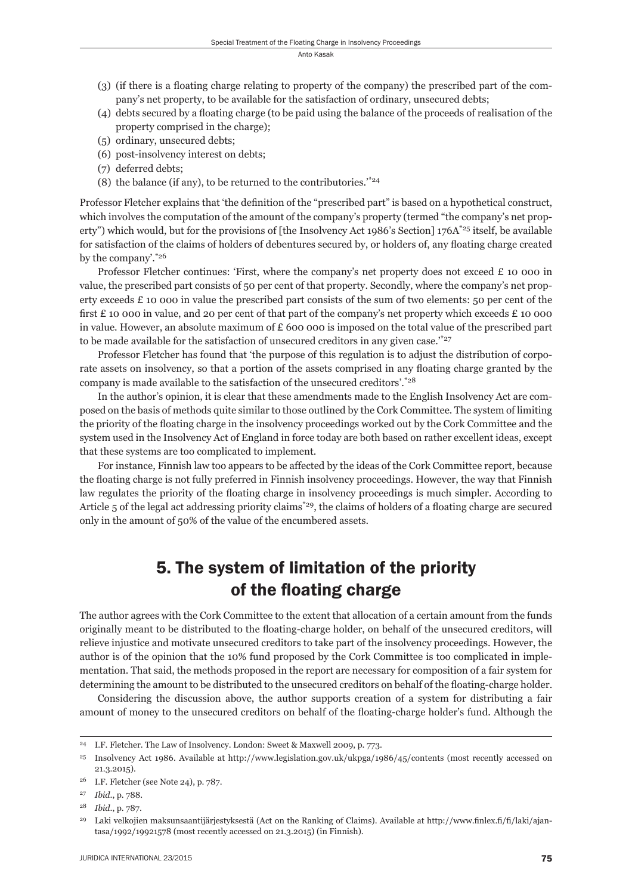- (3) (if there is a floating charge relating to property of the company) the prescribed part of the company's net property, to be available for the satisfaction of ordinary, unsecured debts;
- (4) debts secured by a floating charge (to be paid using the balance of the proceeds of realisation of the property comprised in the charge);
- (5) ordinary, unsecured debts;
- (6) post-insolvency interest on debts;
- (7) deferred debts;
- (8) the balance (if any), to be returned to the contributories.<sup>\*\*24</sup>

Professor Fletcher explains that 'the definition of the "prescribed part" is based on a hypothetical construct, which involves the computation of the amount of the company's property (termed "the company's net property") which would, but for the provisions of [the Insolvency Act 1986's Section] 176A<sup>\*25</sup> itself, be available for satisfaction of the claims of holders of debentures secured by, or holders of, any floating charge created by the company'.\*26

Professor Fletcher continues: 'First, where the company's net property does not exceed £ 10 000 in value, the prescribed part consists of 50 per cent of that property. Secondly, where the company's net property exceeds  $\pounds$  10 000 in value the prescribed part consists of the sum of two elements: 50 per cent of the first  $E$  10 000 in value, and 20 per cent of that part of the company's net property which exceeds  $E$  10 000 in value. However, an absolute maximum of  $E$  600 000 is imposed on the total value of the prescribed part to be made available for the satisfaction of unsecured creditors in any given case.<sup>\*\*27</sup>

Professor Fletcher has found that 'the purpose of this regulation is to adjust the distribution of corporate assets on insolvency, so that a portion of the assets comprised in any floating charge granted by the company is made available to the satisfaction of the unsecured creditors'.\*28

In the author's opinion, it is clear that these amendments made to the English Insolvency Act are composed on the basis of methods quite similar to those outlined by the Cork Committee. The system of limiting the priority of the floating charge in the insolvency proceedings worked out by the Cork Committee and the system used in the Insolvency Act of England in force today are both based on rather excellent ideas, except that these systems are too complicated to implement.

For instance, Finnish law too appears to be affected by the ideas of the Cork Committee report, because the floating charge is not fully preferred in Finnish insolvency proceedings. However, the way that Finnish law regulates the priority of the floating charge in insolvency proceedings is much simpler. According to Article  $5$  of the legal act addressing priority claims<sup>\*29</sup>, the claims of holders of a floating charge are secured only in the amount of 50% of the value of the encumbered assets.

#### 5. The system of limitation of the priority of the floating charge

The author agrees with the Cork Committee to the extent that allocation of a certain amount from the funds originally meant to be distributed to the floating-charge holder, on behalf of the unsecured creditors, will relieve injustice and motivate unsecured creditors to take part of the insolvency proceedings. However, the author is of the opinion that the 10% fund proposed by the Cork Committee is too complicated in implementation. That said, the methods proposed in the report are necessary for composition of a fair system for determining the amount to be distributed to the unsecured creditors on behalf of the floating-charge holder.

Considering the discussion above, the author supports creation of a system for distributing a fair amount of money to the unsecured creditors on behalf of the floating-charge holder's fund. Although the

<sup>24</sup> I.F. Fletcher. The Law of Insolvency. London: Sweet & Maxwell 2009, p. 773.

<sup>25</sup> Insolvency Act 1986. Available at http://www.legislation.gov.uk/ukpga/1986/45/contents (most recently accessed on 21.3.2015).

<sup>26</sup> I.F. Fletcher (see Note 24), p. 787.

<sup>27</sup> *Ibid*., p. 788.

<sup>28</sup> *Ibid*., p. 787.

<sup>&</sup>lt;sup>29</sup> Laki velkojien maksunsaantijärjestyksestä (Act on the Ranking of Claims). Available at http://www.finlex.fi/fi/laki/ajantasa/1992/19921578 (most recently accessed on 21.3.2015) (in Finnish).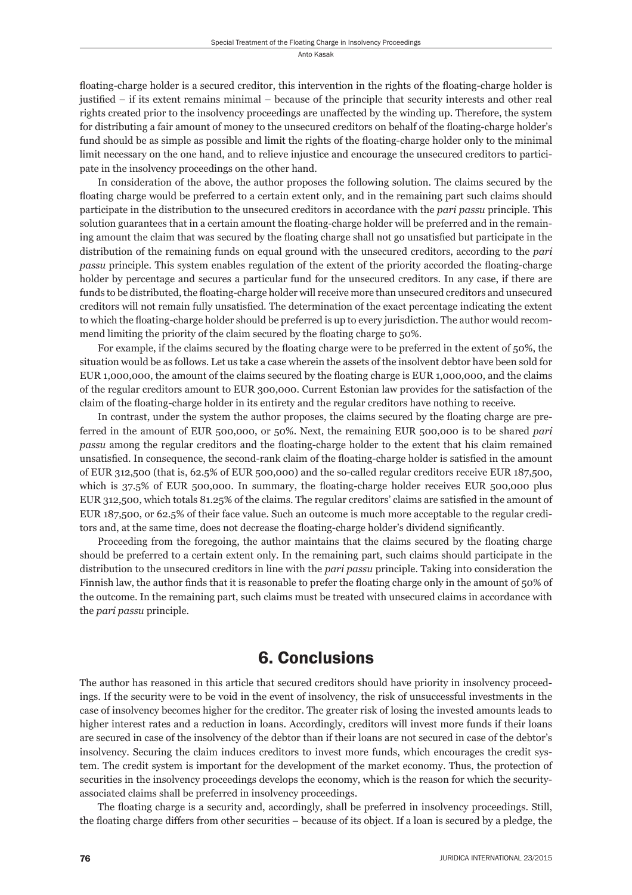floating-charge holder is a secured creditor, this intervention in the rights of the floating-charge holder is justified – if its extent remains minimal – because of the principle that security interests and other real rights created prior to the insolvency proceedings are unaffected by the winding up. Therefore, the system for distributing a fair amount of money to the unsecured creditors on behalf of the floating-charge holder's fund should be as simple as possible and limit the rights of the floating-charge holder only to the minimal limit necessary on the one hand, and to relieve injustice and encourage the unsecured creditors to participate in the insolvency proceedings on the other hand.

In consideration of the above, the author proposes the following solution. The claims secured by the floating charge would be preferred to a certain extent only, and in the remaining part such claims should participate in the distribution to the unsecured creditors in accordance with the *pari passu* principle. This solution guarantees that in a certain amount the floating-charge holder will be preferred and in the remaining amount the claim that was secured by the floating charge shall not go unsatisfied but participate in the distribution of the remaining funds on equal ground with the unsecured creditors, according to the *pari passu* principle. This system enables regulation of the extent of the priority accorded the floating-charge holder by percentage and secures a particular fund for the unsecured creditors. In any case, if there are funds to be distributed, the floating-charge holder will receive more than unsecured creditors and unsecured creditors will not remain fully unsatisfied. The determination of the exact percentage indicating the extent to which the floating-charge holder should be preferred is up to every jurisdiction. The author would recommend limiting the priority of the claim secured by the floating charge to 50%.

For example, if the claims secured by the floating charge were to be preferred in the extent of 50%, the situation would be as follows. Let us take a case wherein the assets of the insolvent debtor have been sold for EUR 1,000,000, the amount of the claims secured by the floating charge is EUR 1,000,000, and the claims of the regular creditors amount to EUR 300,000. Current Estonian law provides for the satisfaction of the claim of the floating-charge holder in its entirety and the regular creditors have nothing to receive.

In contrast, under the system the author proposes, the claims secured by the floating charge are preferred in the amount of EUR 500,000, or 50%. Next, the remaining EUR 500,000 is to be shared *pari passu* among the regular creditors and the floating-charge holder to the extent that his claim remained unsatisfied. In consequence, the second-rank claim of the floating-charge holder is satisfied in the amount of EUR 312,500 (that is, 62.5% of EUR 500,000) and the so-called regular creditors receive EUR 187,500, which is  $37.5\%$  of EUR 500,000. In summary, the floating-charge holder receives EUR 500,000 plus EUR 312,500, which totals 81.25% of the claims. The regular creditors' claims are satisfied in the amount of EUR 187,500, or 62.5% of their face value. Such an outcome is much more acceptable to the regular creditors and, at the same time, does not decrease the floating-charge holder's dividend significantly.

Proceeding from the foregoing, the author maintains that the claims secured by the floating charge should be preferred to a certain extent only. In the remaining part, such claims should participate in the distribution to the unsecured creditors in line with the *pari passu* principle. Taking into consideration the Finnish law, the author finds that it is reasonable to prefer the floating charge only in the amount of 50% of the outcome. In the remaining part, such claims must be treated with unsecured claims in accordance with the *pari passu* principle.

#### 6. Conclusions

The author has reasoned in this article that secured creditors should have priority in insolvency proceedings. If the security were to be void in the event of insolvency, the risk of unsuccessful investments in the case of insolvency becomes higher for the creditor. The greater risk of losing the invested amounts leads to higher interest rates and a reduction in loans. Accordingly, creditors will invest more funds if their loans are secured in case of the insolvency of the debtor than if their loans are not secured in case of the debtor's insolvency. Securing the claim induces creditors to invest more funds, which encourages the credit system. The credit system is important for the development of the market economy. Thus, the protection of securities in the insolvency proceedings develops the economy, which is the reason for which the securityassociated claims shall be preferred in insolvency proceedings.

The floating charge is a security and, accordingly, shall be preferred in insolvency proceedings. Still, the floating charge differs from other securities – because of its object. If a loan is secured by a pledge, the